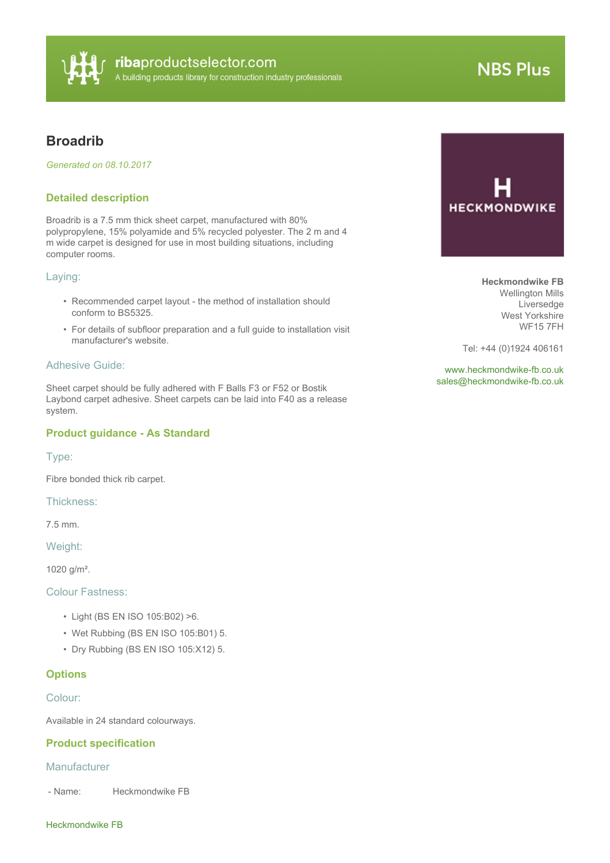

# **NBS Plus**

# **Broadrib**

*Generated on 08.10.2017*

# **Detailed description**

Broadrib is a 7.5 mm thick sheet carpet, manufactured with 80% polypropylene, 15% polyamide and 5% recycled polyester. The 2 m and 4 m wide carpet is designed for use in most building situations, including computer rooms.

#### Laying:

- Recommended carpet layout the method of installation should conform to BS5325.
- For details of subfloor preparation and a full guide to installation visit manufacturer's website.

# Adhesive Guide:

Sheet carpet should be fully adhered with F Balls F3 or F52 or Bostik Laybond carpet adhesive. Sheet carpets can be laid into F40 as a release system.

# **Product guidance - As Standard**

Type:

Fibre bonded thick rib carpet.

Thickness:

7.5 mm.

Weight:

1020 g/m².

Colour Fastness:

- Light (BS EN ISO 105:B02) >6.
- Wet Rubbing (BS EN ISO 105:B01) 5.
- Dry Rubbing (BS EN ISO 105:X12) 5.

# **Options**

Colour:

Available in 24 standard colourways.

#### **Product specification**

#### **Manufacturer**

- Name: Heckmondwike FB

#### Heckmondwike FB

**HECKMONDWIKE** 

**Heckmondwike FB** Wellington Mills Liversedge West Yorkshire WF15 7FH

Tel: +44 (0)1924 406161

<www.heckmondwike-fb.co.uk> [sales@heckmondwike-fb.co.uk](mailto:sales@heckmondwike-fb.co.uk?subject=Broadrib)